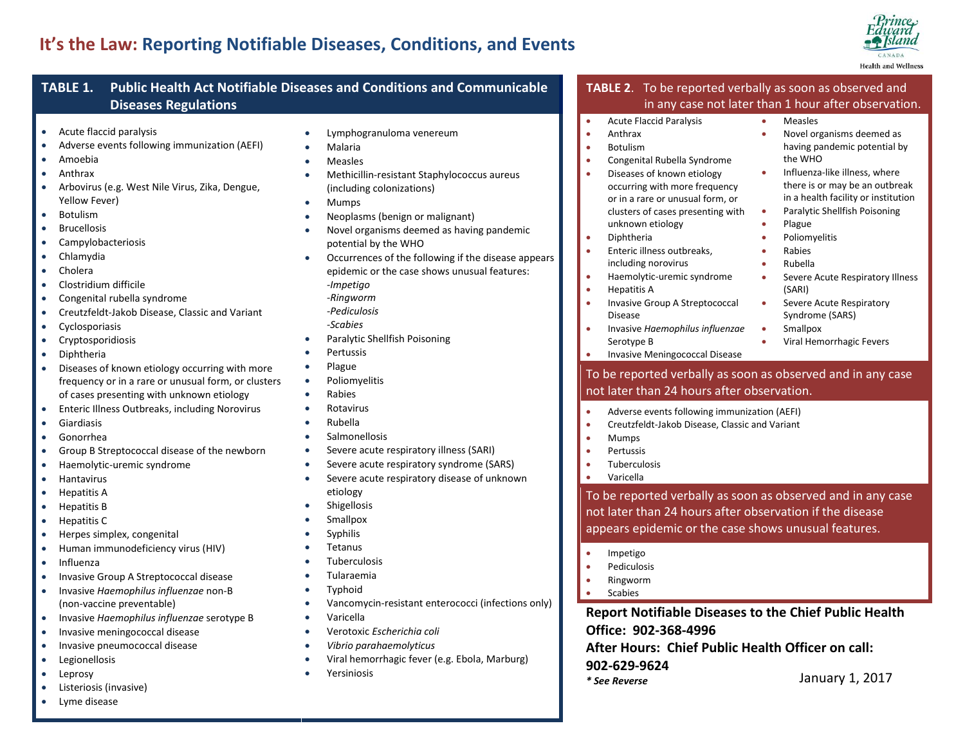# **It's the Law: Reporting Notifiable Diseases, Conditions, and Events**



#### **TABLE 1. Public Health Act Notifiable Diseases and Conditions and Communicable Diseases Regulations**  Adverse events following immunization (AEFI) Arbovirus (e.g. West Nile Virus, Zika, Dengue, Congenital rubella syndrome Creutzfeldt-Jakob Disease, Classic and Variant Diseases of known etiology occurring with more frequency or in a rare or unusual form, or clusters of cases presenting with unknown etiology Enteric Illness Outbreaks, including Norovirus Group B Streptococcal disease of the newborn Haemolytic-uremic syndrome • Herpes simplex, congenital Human immunodeficiency virus (HIV) Lymphogranuloma venereum Malaria Measles Methicillin-resistant Staphylococcus aureus (including colonizations) • Mumps • Neoplasms (benign or malignant) Novel organisms deemed as having pandemic potential by the WHO Occurrences of the following if the disease appears epidemic or the case shows unusual features: *-Impetigo -Ringworm -Pediculosis -Scabies* Paralytic Shellfish Poisoning Pertussis • Plague Poliomyelitis Rabies Rotavirus Rubella Salmonellosis Severe acute respiratory illness (SARI) Severe acute respiratory syndrome (SARS) Severe acute respiratory disease of unknown etiology **•** Shigellosis Smallpox **Syphilis**  Tetanus Tuberculosis Acute Flaccid Paralysis Anthrax **•** Botulism Congenital Rubella Syndrome Diseases of known etiology occurring with more frequency or in a rare or unusual form, or clusters of cases presenting with unknown etiology • Diphtheria Enteric illness outbreaks, including norovirus Haemolytic-uremic syndrome • Hepatitis A **•** Invasive Group A Streptococcal Disease Invasive *Haemophilus influenzae* Serotype B Invasive Meningococcal Disease Measles • Mumps • Pertussis Tuberculosis Varicella • Impetigo • Pediculosis

- Invasive Group A Streptococcal disease
- Invasive *Haemophilus influenzae* non-B (non-vaccine preventable)
- Invasive *Haemophilus influenzae* serotype B
- Invasive meningococcal disease
- Invasive pneumococcal disease
- **•** Legionellosis
- Leprosy
- Listeriosis (invasive) Lyme disease

Acute flaccid paralysis

 Amoebia Anthrax

Yellow Fever) • Botulism Brucellosis • Campylobacteriosis Chlamydia Cholera Clostridium difficile

 Cyclosporiasis **•** Cryptosporidiosis Diphtheria

**•** Giardiasis Gonorrhea

**•** Hantavirus • Hepatitis A Hepatitis B **•** Hepatitis C

• Influenza

- 
- Tularaemia
- **•** Typhoid
- Vancomycin-resistant enterococci (infections only)
- Varicella
- Verotoxic *Escherichia coli*
- *Vibrio parahaemolyticus*
- Viral hemorrhagic fever (e.g. Ebola, Marburg)
- Yersiniosis

## **TABLE 2**. To be reported verbally as soon as observed and in any case not later than 1 hour after observation.

### Novel organisms deemed as having pandemic potential by the WHO

- Influenza-like illness, where there is or may be an outbreak in a health facility or institution
- Paralytic Shellfish Poisoning
- Plague
- **•** Poliomyelitis
- Rabies
- Rubella
- **Severe Acute Respiratory Illness** (SARI)
- **Severe Acute Respiratory** Syndrome (SARS)
- **•** Smallpox
- Viral Hemorrhagic Fevers
- To be reported verbally as soon as observed and in any case not later than 24 hours after observation.
- Adverse events following immunization (AEFI)
- **•** Creutzfeldt-Jakob Disease, Classic and Variant

To be reported verbally as soon as observed and in any case not later than 24 hours after observation if the disease appears epidemic or the case shows unusual features.

- 
- Ringworm
- Scabies

**Report Notifiable Diseases to the Chief Public Health Office: 902-368-4996**

**After Hours: Chief Public Health Officer on call: 902-629-9624**

*\* See Reverse* January 1, 2017